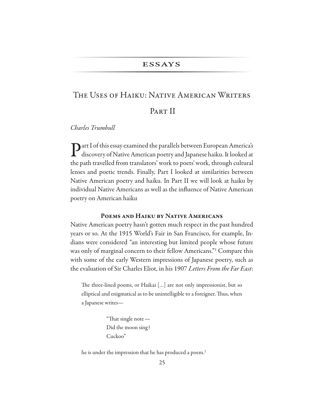### **ESSAYS**

# THE USES OF HAIKU: NATIVE AMERICAN WRITERS

# PART II

Charles Trumbull

Part I of this essay examined the parallels between European America's discovery of Native American poetry and Japanese haiku. It looked at the path travelled from translators' work to poets' work, through cultural lenses and poetic trends. Finally, Part I looked at similarities between Native American poetry and haiku. In Part II we will look at haiku by individual Native Americans as well as the influence of Native American poetry on American haiku

## POEMS AND HAIKU BY NATIVE AMERICANS

Native American poetry hasn't gotten much respect in the past hundred years or so. At the 1915 World's Fair in San Francisco, for example, Indians were considered "an interesting but limited people whose future was only of marginal concern to their fellow Americans." Compare this with some of the early Western impressions of Japanese poetry, such as the evaluation of Sir Charles Eliot, in his 1907 Letters From the Far East:

The three-lined poems, or Haikai [...] are not only impressionist, but so elliptical and enigmatical as to be unintelligible to a foreigner. Thus, when a Japanese writes-

> "That single note -Did the moon sing? Cuckoo"

he is under the impression that he has produced a poem.<sup>2</sup>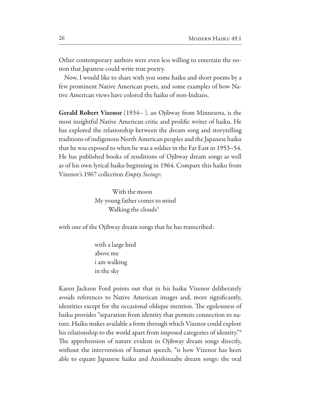Other contemporary authors were even less willing to entertain the notion that Japanese could write true poetry.

Now, I would like to share with you some haiku and short poems by a few prominent Native American poets, and some examples of how Native American views have colored the haiku of non-Indians.

**Gerald Robert Vizenor** (1934–), an Ojibway from Minnesota, is the most insightful Native American critic and prolific writer of haiku. He has explored the relationship between the dream song and storytelling traditions of indigenous North American peoples and the Japanese haiku that he was exposed to when he was a soldier in the Far East in 1953–54. He has published books of renditions of Ojibway dream songs as well as of his own lyrical haiku beginning in 1964. Compare this haiku from Vizenor's 1967 collection Empty Swings:

> With the moon My young father comes to mind Walking the clouds<sup>3</sup>

with one of the Ojibway dream songs that he has transcribed:

with a large bird above me *i* am walking in the sky

Karen Jackson Ford points out that in his haiku Vizenor deliberately avoids references to Native American images and, more significantly, identities except for the occasional oblique mention. The egolessness of haiku provides "separation from identity that permits connection to nature. Haiku makes available a form through which Vizenor could explore his relationship to the world apart from imposed categories of identity."<sup>4</sup> The apprehension of nature evident in Ojibway dream songs directly, without the intervention of human speech, "is how Vizenor has been able to equate Japanese haiku and Anishinaabe dream songs: the oral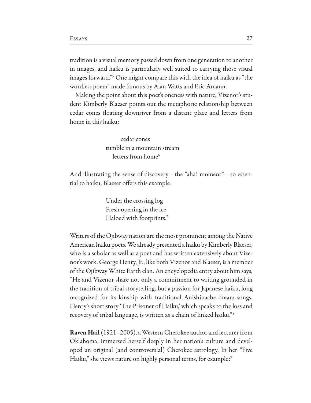tradition is a visual memory passed down from one generation to another in images, and haiku is particularly well suited to carrying those visual images forward."<sup>5</sup> One might compare this with the idea of haiku as "the wordless poem" made famous by Alan Watts and Eric Amann.

Making the point about this poet's oneness with nature, Vizenor's student Kimberly Blaeser points out the metaphoric relationship between cedar cones floating downriver from a distant place and letters from home in this haiku:

> cedar cones tumble in a mountain stream letters from home<sup>6</sup>

And illustrating the sense of discovery—the "aha! moment"—so essential to haiku, Blaeser offers this example:

> Under the crossing log Fresh opening in the ice Haloed with footprints.<sup>7</sup>

Writers of the Ojibway nation are the most prominent among the Native American haiku poets. We already presented a haiku by Kimberly Blaeser, who is a scholar as well as a poet and has written extensively about Vizenor's work. George Henry, Jr., like both Vizenor and Blaeser, is a member of the Ojibway White Earth clan. An encyclopedia entry about him says, "He and Vizenor share not only a commitment to writing grounded in the tradition of tribal storytelling, but a passion for Japanese haiku, long recognized for its kinship with traditional Anishinaabe dream songs. Henry's short story 'The Prisoner of Haiku,' which speaks to the loss and recovery of tribal language, is written as a chain of linked haiku."

**Raven Hail** (1921–2005), a Western Cherokee author and lecturer from Oklahoma, immersed herself deeply in her nation's culture and developed an original (and controversial) Cherokee astrology. In her "Five Haiku," she views nature on highly personal terms, for example:<sup>9</sup>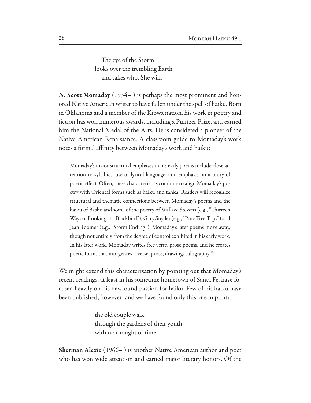The eye of the Storm looks over the trembling Earth and takes what She will.

N. Scott Momaday (1934–) is perhaps the most prominent and honored Native American writer to have fallen under the spell of haiku. Born in Oklahoma and a member of the Kiowa nation, his work in poetry and fiction has won numerous awards, including a Pulitzer Prize, and earned him the National Medal of the Arts. He is considered a pioneer of the Native American Renaissance. A classroom guide to Momaday's work notes a formal affinity between Momaday's work and haiku:

Momaday's major structural emphases in his early poems include close attention to syllabics, use of lyrical language, and emphasis on a unity of poetic effect. Often, these characteristics combine to align Momaday's poetry with Oriental forms such as haiku and tanka. Readers will recognize structural and thematic connections between Momaday's poems and the haiku of Basho and some of the poetry of Wallace Stevens (e.g., "Thirteen Ways of Looking at a Blackbird"), Gary Snyder (e.g., "Pine Tree Tops") and Jean Toomer (e.g., "Storm Ending"). Momaday's later poems move away, though not entirely from the degree of control exhibited in his early work. In his later work, Momaday writes free verse, prose poems, and he creates poetic forms that mix genres—verse, prose, drawing, calligraphy.<sup>10</sup>

We might extend this characterization by pointing out that Momaday's recent readings, at least in his sometime hometown of Santa Fe, have focused heavily on his newfound passion for haiku. Few of his haiku have been published, however; and we have found only this one in print:

> the old couple walk through the gardens of their youth with no thought of time<sup>11</sup>

**Sherman Alexie** (1966–) is another Native American author and poet who has won wide attention and earned major literary honors. Of the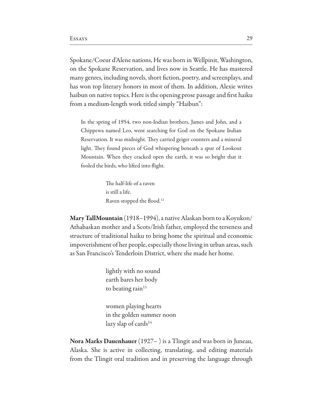Spokane/Coeur d'Alene nations, He was born in Wellpinit, Washington, on the Spokane Reservation, and lives now in Seattle. He has mastered many genres, including novels, short fiction, poetry, and screenplays, and has won top literary honors in most of them. In addition, Alexie writes haibun on native topics. Here is the opening prose passage and first haiku from a medium-length work titled simply "Haibun":

In the spring of 1954, two non-Indian brothers, James and John, and a Chippewa named Leo, went searching for God on the Spokane Indian Reservation. It was midnight. They carried geiger counters and a mineral light. They found pieces of God whispering beneath a spur of Lookout Mountain. When they cracked open the earth, it was so bright that it fooled the birds, who lifted into flight.

> The half-life of a raven is still a life. Raven stopped the flood.<sup>12</sup>

Mary TallMountain (1918–1994), a native Alaskan born to a Koyukon/ Athabaskan mother and a Scots/Irish father, employed the terseness and structure of traditional haiku to bring home the spiritual and economic impoverishment of her people, especially those living in urban areas, such as San Francisco's Tenderloin District, where she made her home.

> lightly with no sound earth bares her body to beating rain<sup>13</sup>

women playing hearts in the golden summer noon lazy slap of cards<sup>14</sup>

**Nora Marks Dauenhauer** (1927 $-$ ) is a Tlingit and was born in Juneau, Alaska. She is active in collecting, translating, and editing materials from the Tlingit oral tradition and in preserving the language through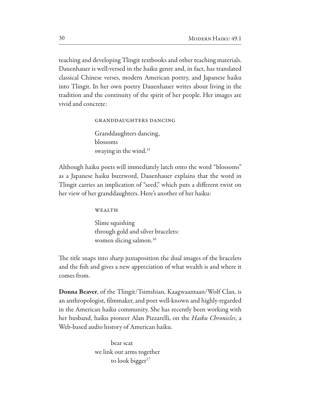teaching and developing Tlingit textbooks and other teaching materials. Dauenhauer is well-versed in the haiku genre and, in fact, has translated classical Chinese verses, modern American poetry, and Japanese haiku into Tlingit. In her own poetry Dauenhauer writes about living in the tradition and the continuity of the spirit of her people. Her images are vivid and concrete:

> **GRANDDAUGHTERS DANCING** Granddaughters dancing, blossoms swaying in the wind.<sup>15</sup>

Although haiku poets will immediately latch onto the word "blossoms" as a Japanese haiku buzzword, Dauenhauer explains that the word in Tlingit carries an implication of "seed," which puts a different twist on her view of her granddaughters. Here's another of her haiku:

WEALTH

Slime squishing through gold and silver bracelets: women slicing salmon.<sup>16</sup>

The title snaps into sharp juxtaposition the dual images of the bracelets and the fish and gives a new appreciation of what wealth is and where it comes from.

**Donna Beaver**, of the Tlingit/Tsimshian, Kaagwaantaan/Wolf Clan, is an anthropologist, filmmaker, and poet well-known and highly-regarded in the American haiku community. She has recently been working with her husband, haiku pioneer Alan Pizzarelli, on the *Haiku Chronicles*, a Web-based audio history of American haiku.

> bear scat we link our arms together to look bigger<sup>17</sup>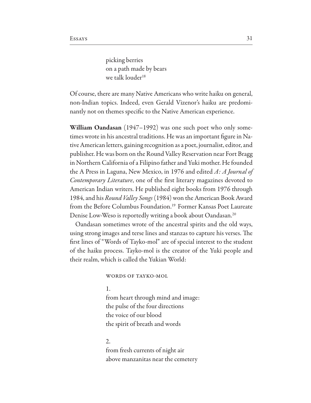picking berries on a path made by bears we talk louder<sup>18</sup>

Of course, there are many Native Americans who write haiku on general, non-Indian topics. Indeed, even Gerald Vizenor's haiku are predominantly not on themes specific to the Native American experience.

**William Oandasan** (1947–1992) was one such poet who only sometimes wrote in his ancestral traditions. He was an important figure in Native American letters, gaining recognition as a poet, journalist, editor, and publisher. He was born on the Round Valley Reservation near Fort Bragg in Northern California of a Filipino father and Yuki mother. He founded the A Press in Laguna, New Mexico, in 1976 and edited A: A Journal of *Contemporary Literature*, one of the first literary magazines devoted to American Indian writers. He published eight books from 1976 through 1984, and his *Round Valley Songs* (1984) won the American Book Award from the Before Columbus Foundation.<sup>19</sup> Former Kansas Poet Laureate Denise Low-Weso is reportedly writing a book about Oandasan.<sup>20</sup>

Oandasan sometimes wrote of the ancestral spirits and the old ways, using strong images and terse lines and stanzas to capture his verses. The first lines of "Words of Tayko-mol" are of special interest to the student of the haiku process. Tayko-mol is the creator of the Yuki people and their realm, which is called the Yukian World:

#### WORDS OF TAYKO-MOL

1.

from heart through mind and image: the pulse of the four directions the voice of our blood the spirit of breath and words

#### $2<sub>1</sub>$

from fresh currents of night air above manzanitas near the cemetery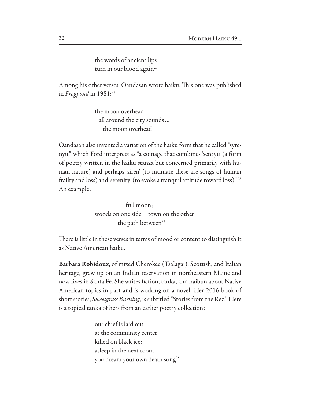the words of ancient lips turn in our blood again<sup>21</sup>

Among his other verses, Oandasan wrote haiku. This one was published in Frogpond in  $1981$ <sup>22</sup>

> the moon overhead. all around the city sounds... the moon overhead

Oandasan also invented a variation of the haiku form that he called "syrenyu," which Ford interprets as "a coinage that combines 'senryu' (a form of poetry written in the haiku stanza but concerned primarily with human nature) and perhaps 'siren' (to intimate these are songs of human frailty and loss) and 'serenity' (to evoke a tranquil attitude toward loss)."23 An example:

> $full$  moon: woods on one side town on the other the path between<sup>24</sup>

There is little in these verses in terms of mood or content to distinguish it as Native American haiku.

**Barbara Robidoux**, of mixed Cherokee (Tsalagai), Scottish, and Italian heritage, grew up on an Indian reservation in northeastern Maine and now lives in Santa Fe. She writes fiction, tanka, and haibun about Native American topics in part and is working on a novel. Her 2016 book of short stories, Sweetgrass Burning, is subtitled "Stories from the Rez." Here is a topical tanka of hers from an earlier poetry collection:

> our chief is laid out at the community center killed on black ice: asleep in the next room you dream your own death song<sup>25</sup>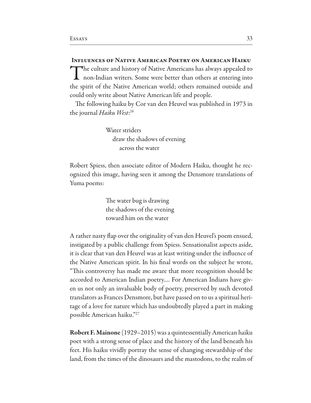**INFLUENCES OF NATIVE AMERICAN POETRY ON AMERICAN HAIKU** The culture and history of Native Americans has always appealed to I non-Indian writers. Some were better than others at entering into the spirit of the Native American world; others remained outside and could only write about Native American life and people.

The following haiku by Cor van den Heuvel was published in 1973 in the journal Haiku West:<sup>26</sup>

> Water striders draw the shadows of evening across the water

Robert Spiess, then associate editor of Modern Haiku, thought he recognized this image, having seen it among the Densmore translations of Yuma poems:

> The water bug is drawing the shadows of the evening toward him on the water

A rather nasty flap over the originality of van den Heuvel's poem ensued, instigated by a public challenge from Spiess. Sensationalist aspects aside, it is clear that van den Heuvel was at least writing under the influence of the Native American spirit. In his final words on the subject he wrote, "This controversy has made me aware that more recognition should be accorded to American Indian poetry.... For American Indians have given us not only an invaluable body of poetry, preserved by such devoted translators as Frances Densmore, but have passed on to us a spiritual heritage of a love for nature which has undoubtedly played a part in making possible American haiku."27

**Robert F. Mainone** (1929–2015) was a quintessentially American haiku poet with a strong sense of place and the history of the land beneath his feet. His haiku vividly portray the sense of changing stewardship of the land, from the times of the dinosaurs and the mastodons, to the realm of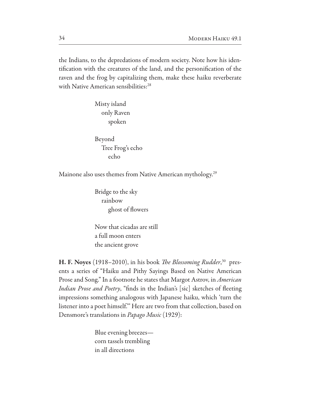the Indians, to the depredations of modern society. Note how his identification with the creatures of the land, and the personification of the raven and the frog by capitalizing them, make these haiku reverberate with Native American sensibilities:<sup>28</sup>

> Misty island only Raven spoken

Beyond Tree Frog's echo echo

Mainone also uses themes from Native American mythology.<sup>29</sup>

Bridge to the sky rainbow ghost of flowers

Now that cicadas are still a full moon enters the ancient grove

H. F. Noyes (1918–2010), in his book *The Blossoming Rudder*,<sup>30</sup> presents a series of "Haiku and Pithy Sayings Based on Native American Prose and Song." In a footnote he states that Margot Astrov, in American *Indian Prose and Poetry*, "finds in the Indian's [sic] sketches of fleeting impressions something analogous with Japanese haiku, which 'turn the listener into a poet himself." Here are two from that collection, based on Densmore's translations in *Papago Music* (1929):

> Blue evening breezes corn tassels trembling in all directions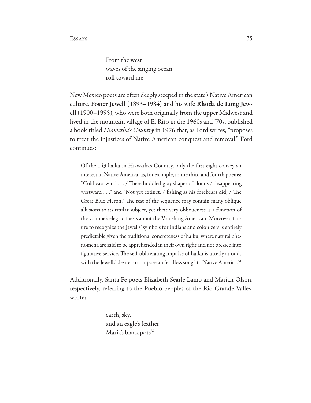From the west waves of the singing ocean roll toward me

New Mexico poets are often deeply steeped in the state's Native American culture. Foster Jewell (1893–1984) and his wife Rhoda de Long Jew**ell** (1900–1995), who were both originally from the upper Midwest and lived in the mountain village of El Rito in the 1960s and '70s, published a book titled *Hiawatha's Country* in 1976 that, as Ford writes, "proposes to treat the injustices of Native American conquest and removal." Ford continues:

Of the 143 haiku in Hiawatha's Country, only the first eight convey an interest in Native America, as, for example, in the third and fourth poems: "Cold east wind . . . / These huddled gray shapes of clouds / disappearing westward . . ." and "Not yet extinct, / fishing as his forebears did, / The Great Blue Heron." The rest of the sequence may contain many oblique allusions to its titular subject, yet their very obliqueness is a function of the volume's elegiac thesis about the Vanishing American. Moreover, failure to recognize the Jewells' symbols for Indians and colonizers is entirely predictable given the traditional concreteness of haiku, where natural phenomena are said to be apprehended in their own right and not pressed into figurative service. The self-obliterating impulse of haiku is utterly at odds with the Jewells' desire to compose an "endless song" to Native America.<sup>31</sup>

Additionally, Santa Fe poets Elizabeth Searle Lamb and Marian Olson, respectively, referring to the Pueblo peoples of the Rio Grande Valley, wrote:

> earth, sky, and an eagle's feather Maria's black pots<sup>32</sup>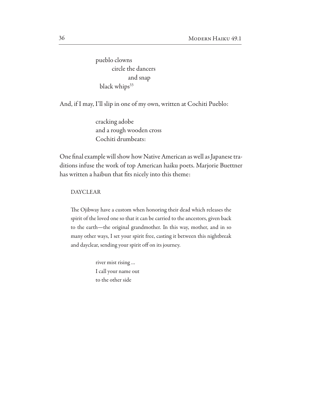pueblo clowns circle the dancers and snap black whips<sup>33</sup>

And, if I may, I'll slip in one of my own, written at Cochiti Pueblo:

cracking adobe and a rough wooden cross Cochiti drumbeats:

One final example will show how Native American as well as Japanese traditions infuse the work of top American haiku poets. Marjorie Buettner has written a haibun that fits nicely into this theme:

#### **DAYCLEAR**

The Ojibway have a custom when honoring their dead which releases the spirit of the loved one so that it can be carried to the ancestors, given back to the earth-the original grandmother. In this way, mother, and in so many other ways, I set your spirit free, casting it between this nightbreak and dayclear, sending your spirit off on its journey.

> river mist rising... I call your name out to the other side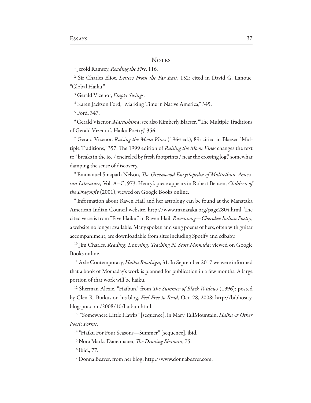#### **NOTES**

<sup>1</sup> Jerold Ramsey, *Reading the Fire*, 116.

<sup>2</sup> Sir Charles Eliot, Letters From the Far East, 152; cited in David G. Lanoue, "Global Haiku."

<sup>3</sup> Gerald Vizenor, *Empty Swings*.

<sup>4</sup> Karen Jackson Ford, "Marking Time in Native America," 345.

<sup>5</sup> Ford, 347.

<sup>6</sup> Gerald Vizenor, *Matsushima*; see also Kimberly Blaeser, "The Multiple Traditions of Gerald Vizenor's Haiku Poetry," 356.

<sup>7</sup> Gerald Vizenor, Raising the Moon Vines (1964 ed.), 89; citied in Blaeser "Multiple Traditions," 357. The 1999 edition of Raising the Moon Vines changes the text to "breaks in the ice / encircled by fresh footprints / near the crossing log," somewhat damping the sense of discovery.

<sup>8</sup> Emmanuel Smapath Nelson, The Greenwood Encyclopedia of Multiethnic American Literature, Vol. A-C, 973. Henry's piece appears in Robert Bensen, Children of the Dragonfly (2001), viewed on Google Books online.

<sup>9</sup> Information about Raven Hail and her astrology can be found at the Manataka American Indian Council website, http://www.manataka.org/page2804.html. The cited verse is from "Five Haiku," in Raven Hail, Ravensong-Cherokee Indian Poetry, a website no longer available. Many spoken and sung poems of hers, often with guitar accompaniment, are downloadable from sites including Spotify and cdbaby.

<sup>10</sup> Jim Charles, Reading, Learning, Teaching N. Scott Momada; viewed on Google Books online.

<sup>11</sup> Axle Contemporary, Haiku Roadsign, 31. In September 2017 we were informed that a book of Momaday's work is planned for publication in a few months. A large portion of that work will be haiku.

<sup>12</sup> Sherman Alexie, "Haibun," from *The Summer of Black Widows* (1996); posted by Glen R. Butkus on his blog, Feel Free to Read, Oct. 28, 2008; http://bibliosity. blogspot.com/2008/10/haibun.html.

<sup>13</sup> "Somewhere Little Hawks" [sequence], in Mary TallMountain, Haiku & Other Poetic Forms.

<sup>14</sup> "Haiku For Four Seasons-Summer" [sequence], ibid.

<sup>15</sup> Nora Marks Dauenhauer, *The Droning Shaman*, 75.

<sup>16</sup> Ibid., 77.

<sup>17</sup> Donna Beaver, from her blog, http://www.donnabeaver.com.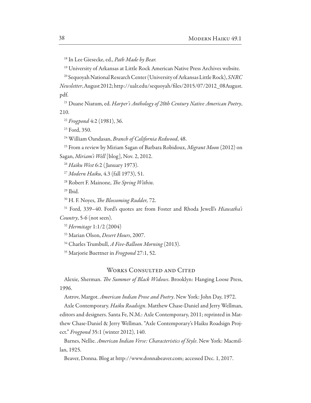<sup>18</sup> In Lee Giesecke, ed., Path Made by Bear.

<sup>19</sup> University of Arkansas at Little Rock American Native Press Archives website.

<sup>20</sup> Sequoyah National Research Center (University of Arkansas Little Rock), SNRC Newsletter, August 2012; http://ualr.edu/sequoyah/files/2015/07/2012\_08August. pdf.

<sup>21</sup> Duane Niatum, ed. Harper's Anthology of 20th Century Native American Poetry, 210.

<sup>22</sup> Frogpond 4:2 (1981), 36.

<sup>23</sup> Ford, 350.

<sup>24</sup> William Oandasan, Branch of California Redwood, 48.

<sup>25</sup> From a review by Miriam Sagan of Barbara Robidoux, Migrant Moon (2012) on Sagan, Miriam's Well [blog], Nov. 2, 2012.

<sup>26</sup> Haiku West 6:2 (January 1973).

<sup>27</sup> Modern Haiku, 4.3 (fall 1973), 51.

<sup>28</sup> Robert F. Mainone, *The Spring Within*.

 $29$  Ibid.

<sup>30</sup> H. F. Noyes, *The Blossoming Rudder*, 72.

<sup>31</sup> Ford, 339-40. Ford's quotes are from Foster and Rhoda Jewell's *Hiawatha's* Country, 5-6 (not seen).

<sup>32</sup> Hermitage 1:1/2 (2004)

<sup>33</sup> Marian Olson, *Desert Hours*, 2007.

<sup>34</sup> Charles Trumbull, A Five-Balloon Morning (2013).

<sup>35</sup> Marjorie Buettner in Frogpond 27:1, 52.

#### **WORKS CONSULTED AND CITED**

Alexie, Sherman. The Summer of Black Widows. Brooklyn: Hanging Loose Press, 1996.

Astrov, Margot. American Indian Prose and Poetry. New York: John Day, 1972.

Axle Contemporary. Haiku Roadsign. Matthew Chase-Daniel and Jerry Wellman, editors and designers. Santa Fe, N.M.: Axle Contemporary, 2011; reprinted in Matthew Chase-Daniel & Jerry Wellman. "Axle Contemporary's Haiku Roadsign Project." Frogpond 35:1 (winter 2012), 140.

Barnes, Nellie. American Indian Verse: Characteristics of Style. New York: Macmillan, 1925.

Beaver, Donna. Blog at http://www.donnabeaver.com; accessed Dec. 1, 2017.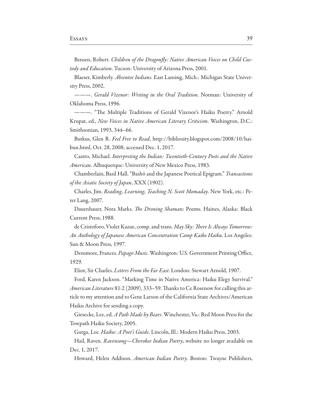Bensen, Robert. Children of the Dragonfly: Native American Voices on Child Custody and Education. Tucson: University of Arizona Press, 2001.

Blaeser, Kimberly. Absentee Indians. East Lansing, Mich.: Michigan State University Press, 2002.

--- Gerald Vizenor: Writing in the Oral Tradition. Norman: University of Oklahoma Press, 1996.

--- "The Multiple Traditions of Gerald Vizenor's Haiku Poetry." Arnold Krupat, ed., New Voices in Native American Literary Criticism. Washington, D.C.: Smithsonian, 1993, 344–66.

Butkus, Glen R. Feel Free to Read, http://bibliosity.blogspot.com/2008/10/haibun.html, Oct. 28, 2008; accessed Dec. 1, 2017.

Castro, Michael. Interpreting the Indian: Twentieth-Century Poets and the Native American. Albuquerque: University of New Mexico Press, 1983.

Chamberlain, Basil Hall. "Bashō and the Japanese Poetical Epigram." Transactions of the Asiatic Society of Japan, XXX (1902).

Charles, Jim. Reading, Learning, Teaching N. Scott Momaday. New York, etc.: Peter Lang, 2007.

Dauenhauer, Nora Marks. The Droning Shaman: Poems. Haines, Alaska: Black Current Press, 1988.

de Cristoforo, Violet Kazue, comp. and trans. May Sky: There Is Always Tomorrow: An Anthology of Japanese American Concentration Camp Kaiko Haiku. Los Angeles: Sun & Moon Press, 1997.

Densmore, Frances. Papago Music. Washington: U.S. Government Printing Office, 1929.

Eliot, Sir Charles. *Letters From the Far East*. London: Stewart Arnold, 1907.

Ford, Karen Jackson. "Marking Time in Native America: Haiku Elegy Survival." American Literature 81:2 (2009), 333-59. Thanks to Ce Rosenow for calling this article to my attention and to Gene Larson of the California State Archives/American Haiku Archive for sending a copy.

Giesecke, Lee, ed. A Path Made by Bears. Winchester, Va.: Red Moon Press for the Towpath Haiku Society, 2005.

Gurga, Lee. Haiku: A Poet's Guide. Lincoln, Ill.: Modern Haiku Press, 2003.

Hail, Raven. Ravensong-Cherokee Indian Poetry, website no longer available on Dec. 1, 2017.

Howard, Helen Addison. American Indian Poetry. Boston: Twayne Publishers,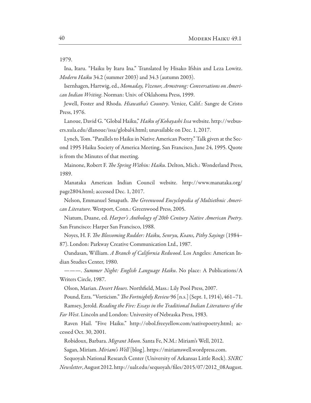Ina, Itaru. "Haiku by Itaru Ina." Translated by Hisako Ifshin and Leza Lowitz. *Modern Haiku* 34.2 (summer 2003) and 34.3 (autumn 2003).

Isernhagen, Hartwig, ed., Momaday, Vizenor, Armstrong: Conversations on American Indian Writing. Norman: Univ. of Oklahoma Press, 1999.

Jewell, Foster and Rhoda. Hiawatha's Country. Venice, Calif.: Sangre de Cristo Press, 1976.

Lanoue, David G. "Global Haiku," *Haiku of Kobayashi Issa* website. http://webusers.xula.edu/dlanoue/issa/global4.html; unavailable on Dec. 1, 2017.

Lynch, Tom. "Parallels to Haiku in Native American Poetry." Talk given at the Second 1995 Haiku Society of America Meeting, San Francisco, June 24, 1995. Quote is from the Minutes of that meeting.

Mainone, Robert F. The Spring Within: Haiku. Delton, Mich.: Wonderland Press, 1989.

Manataka American Indian Council website. http://www.manataka.org/ page2804.html; accessed Dec. 1, 2017.

Nelson, Emmanuel Smapath. The Greenwood Encyclopedia of Multiethnic American Literature. Westport, Conn.: Greenwood Press, 2005.

Niatum, Duane, ed. Harper's Anthology of 20th Century Native American Poetry. San Francisco: Harper San Francisco, 1988.

Noyes, H. F. *The Blossoming Rudder: Haiku, Senryu, Koans, Pithy Sayings* (1984– 87). London: Parkway Creative Communication Ltd., 1987.

Oandasan, William. A Branch of California Redwood. Los Angeles: American Indian Studies Center, 1980.

———. *Summer Night: English Language Haiku*. No place: A Publications/A Writers Circle, 1987.

Olson, Marian. *Desert Hours*. Northfield, Mass.: Lily Pool Press, 2007.

Pound, Ezra. "Vorticism." The Fortnightly Review 96 [n.s.] (Sept. 1, 1914), 461-71.

Ramsey, Jerold. Reading the Fire: Essays in the Traditional Indian Literatures of the

Far West. Lincoln and London: University of Nebraska Press, 1983.

Raven Hail. "Five Haiku." http://obol.freeyellow.com/nativepoetry.html; accessed Oct. 30, 2001.

Robidoux, Barbara. Migrant Moon. Santa Fe, N.M.: Miriam's Well, 2012.

Sagan, Miriam. *Miriam's Well* [blog]. https://miriamswell.wordpress.com.

Sequoyah National Research Center (University of Arkansas Little Rock). SNRC

Newsletter, August 2012. http://ualr.edu/sequoyah/files/2015/07/2012\_08August.